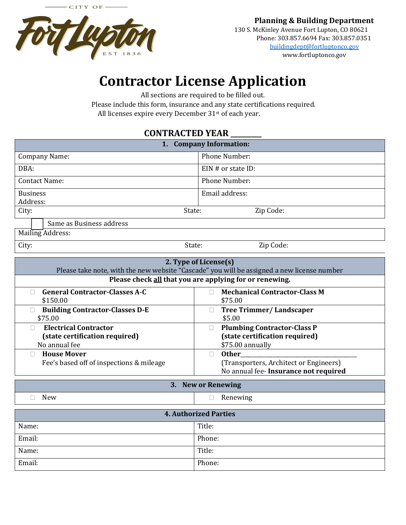

www.fortluptonco.gov

## **Contractor License Application**

All sections are required to be filled out.

Please include this form, insurance and any state certifications required. All licenses expire every December 31st of each year.

## **CONTRACTED YEAR \_\_\_\_\_\_\_\_\_**

| <b>Company Information:</b><br>1.                                                                                                                                              |                                                 |  |
|--------------------------------------------------------------------------------------------------------------------------------------------------------------------------------|-------------------------------------------------|--|
| <b>Company Name:</b>                                                                                                                                                           | <b>Phone Number:</b>                            |  |
| DBA:                                                                                                                                                                           | $EIN \#$ or state ID:                           |  |
| <b>Contact Name:</b>                                                                                                                                                           | <b>Phone Number:</b>                            |  |
| <b>Business</b><br>Address:                                                                                                                                                    | Email address:                                  |  |
| City:<br>State:                                                                                                                                                                | Zip Code:                                       |  |
| Same as Business address                                                                                                                                                       |                                                 |  |
| Mailing Address:                                                                                                                                                               |                                                 |  |
| City:                                                                                                                                                                          | Zip Code:<br>State:                             |  |
| 2. Type of License(s)<br>Please take note, with the new website "Cascade" you will be assigned a new license number<br>Please check all that you are applying for or renewing. |                                                 |  |
|                                                                                                                                                                                |                                                 |  |
| <b>General Contractor-Classes A-C</b><br>п<br>\$150.00                                                                                                                         | <b>Mechanical Contractor-Class M</b><br>\$75.00 |  |
| <b>Building Contractor-Classes D-E</b>                                                                                                                                         | <b>Tree Trimmer/Landscaper</b>                  |  |

| 2. Type of License(s)<br>Please take note, with the new website "Cascade" you will be assigned a new license number<br>Please check all that you are applying for or renewing. |                                                                                                 |  |
|--------------------------------------------------------------------------------------------------------------------------------------------------------------------------------|-------------------------------------------------------------------------------------------------|--|
| <b>General Contractor-Classes A-C</b>                                                                                                                                          | <b>Mechanical Contractor-Class M</b>                                                            |  |
| \$150.00                                                                                                                                                                       | \$75.00                                                                                         |  |
| <b>Building Contractor-Classes D-E</b>                                                                                                                                         | <b>Tree Trimmer/Landscaper</b>                                                                  |  |
| \$75.00                                                                                                                                                                        | \$5.00                                                                                          |  |
| <b>Electrical Contractor</b>                                                                                                                                                   | <b>Plumbing Contractor-Class P</b>                                                              |  |
| (state certification required)                                                                                                                                                 | (state certification required)                                                                  |  |
| No annual fee                                                                                                                                                                  | \$75.00 annually                                                                                |  |
| <b>House Mover</b><br>Fee's based off of inspections & mileage                                                                                                                 | <b>Other</b><br>(Transporters, Architect or Engineers)<br>No annual fee- Insurance not required |  |
| 3. New or Renewing                                                                                                                                                             |                                                                                                 |  |

| New                          | Renewing |
|------------------------------|----------|
| <b>4. Authorized Parties</b> |          |
| Name:                        | Title:   |

Email: Phone: Name: Title: Email: Phone: